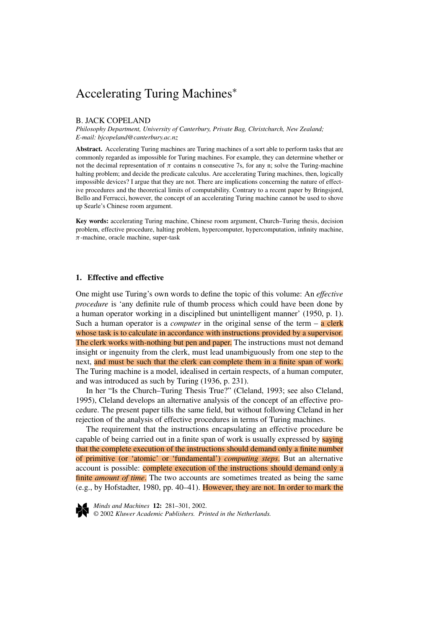# Accelerating Turing Machines<sup>∗</sup>

## B. JACK COPELAND

*Philosophy Department, University of Canterbury, Private Bag, Christchurch, New Zealand; E-mail: bjcopeland@canterbury.ac.nz*

**Abstract.** Accelerating Turing machines are Turing machines of a sort able to perform tasks that are commonly regarded as impossible for Turing machines. For example, they can determine whether or not the decimal representation of  $\pi$  contains n consecutive 7s, for any n; solve the Turing-machine halting problem; and decide the predicate calculus. Are accelerating Turing machines, then, logically impossible devices? I argue that they are not. There are implications concerning the nature of effective procedures and the theoretical limits of computability. Contrary to a recent paper by Bringsjord, Bello and Ferrucci, however, the concept of an accelerating Turing machine cannot be used to shove up Searle's Chinese room argument.

**Key words:** accelerating Turing machine, Chinese room argument, Church–Turing thesis, decision problem, effective procedure, halting problem, hypercomputer, hypercomputation, infinity machine, *π*-machine, oracle machine, super-task

## **1. Effective and effective**

One might use Turing's own words to define the topic of this volume: An *effective procedure* is 'any definite rule of thumb process which could have been done by a human operator working in a disciplined but unintelligent manner' (1950, p. 1). Such a human operator is a *computer* in the original sense of the term  $-\frac{a}{a}$  clerk whose task is to calculate in accordance with instructions provided by a supervisor. The clerk works with-nothing but pen and paper. The instructions must not demand insight or ingenuity from the clerk, must lead unambiguously from one step to the next, and must be such that the clerk can complete them in a finite span of work. The Turing machine is a model, idealised in certain respects, of a human computer, and was introduced as such by Turing (1936, p. 231).

In her "Is the Church–Turing Thesis True?" (Cleland, 1993; see also Cleland, 1995), Cleland develops an alternative analysis of the concept of an effective procedure. The present paper tills the same field, but without following Cleland in her rejection of the analysis of effective procedures in terms of Turing machines.

The requirement that the instructions encapsulating an effective procedure be capable of being carried out in a finite span of work is usually expressed by **saying** that the complete execution of the instructions should demand only a finite number of primitive (or 'atomic' or 'fundamental') *computing steps*. But an alternative account is possible: **complete** execution of the instructions should demand only a finite *amount of time*. The two accounts are sometimes treated as being the same (e.g., by Hofstadter, 1980, pp. 40–41). However, they are not. In order to mark the

*Minds and Machines* **12:** 281–301, 2002. © 2002 *Kluwer Academic Publishers. Printed in the Netherlands.*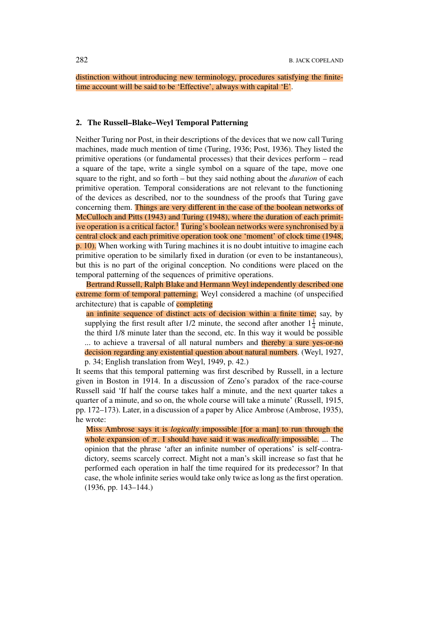distinction without introducing new terminology, procedures satisfying the finitetime account will be said to be 'Effective', always with capital 'E'.

## **2. The Russell–Blake–Weyl Temporal Patterning**

Neither Turing nor Post, in their descriptions of the devices that we now call Turing machines, made much mention of time (Turing, 1936; Post, 1936). They listed the primitive operations (or fundamental processes) that their devices perform – read a square of the tape, write a single symbol on a square of the tape, move one square to the right, and so forth – but they said nothing about the *duration* of each primitive operation. Temporal considerations are not relevant to the functioning of the devices as described, nor to the soundness of the proofs that Turing gave concerning them. Things are very different in the case of the boolean networks of McCulloch and Pitts (1943) and Turing (1948), where the duration of each primitive operation is a critical factor.<sup>1</sup> Turing's boolean networks were synchronised by a central clock and each primitive operation took one 'moment' of clock time (1948, p. 10). When working with Turing machines it is no doubt intuitive to imagine each primitive operation to be similarly fixed in duration (or even to be instantaneous), but this is no part of the original conception. No conditions were placed on the temporal patterning of the sequences of primitive operations.

Bertrand Russell, Ralph Blake and Hermann Weyl independently described one extreme form of temporal patterning. Weyl considered a machine (of unspecified architecture) that is capable of completing

an infinite sequence of distinct acts of decision within a finite time; say, by supplying the first result after 1/2 minute, the second after another  $1\frac{1}{4}$  minute, the third 1/8 minute later than the second, etc. In this way it would be possible ... to achieve a traversal of all natural numbers and thereby a sure yes-or-no decision regarding any existential question about natural numbers. (Weyl, 1927, p. 34; English translation from Weyl, 1949, p. 42.)

It seems that this temporal patterning was first described by Russell, in a lecture given in Boston in 1914. In a discussion of Zeno's paradox of the race-course Russell said 'If half the course takes half a minute, and the next quarter takes a quarter of a minute, and so on, the whole course will take a minute' (Russell, 1915, pp. 172–173). Later, in a discussion of a paper by Alice Ambrose (Ambrose, 1935), he wrote:

Miss Ambrose says it is *logically* impossible [for a man] to run through the whole expansion of  $\pi$ . I should have said it was *medically* impossible. ... The opinion that the phrase 'after an infinite number of operations' is self-contradictory, seems scarcely correct. Might not a man's skill increase so fast that he performed each operation in half the time required for its predecessor? In that case, the whole infinite series would take only twice as long as the first operation. (1936, pp. 143–144.)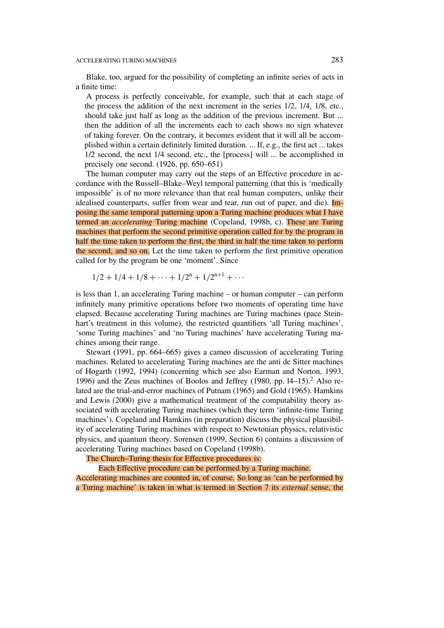Blake, too, argued for the possibility of completing an infinite series of acts in a finite time:

A process is perfectly conceivable, for example, such that at each stage of the process the addition of the next increment in the series 1/2, 1/4, 1/8, etc., should take just half as long as the addition of the previous increment. But ... then the addition of all the increments each to each shows no sign whatever of taking forever. On the contrary, it becomes evident that it will all be accomplished within a certain definitely limited duration. ... If, e.g., the first act ... takes 1/2 second, the next 1/4 second, etc., the [process] will ... be accomplished in precisely one second. (1926, pp. 650–651)

The human computer may carry out the steps of an Effective procedure in accordance with the Russell–Blake–Weyl temporal patterning (that this is 'medically impossible' is of no more relevance than that real human computers, unlike their idealised counterparts, suffer from wear and tear, run out of paper, and die). Imposing the same temporal patterning upon a Turing machine produces what I have termed an *accelerating* Turing machine (Copeland, 1998b, c). These are Turing machines that perform the second primitive operation called for by the program in half the time taken to perform the first, the third in half the time taken to perform the second, and so on. Let the time taken to perform the first primitive operation called for by the program be one 'moment'. Since

$$
1/2 + 1/4 + 1/8 + \cdots + 1/2^{n} + 1/2^{n+1} + \cdots
$$

is less than 1, an accelerating Turing machine – or human computer – can perform infinitely many primitive operations before two moments of operating time have elapsed. Because accelerating Turing machines are Turing machines (pace Steinhart's treatment in this volume), the restricted quantifiers 'all Turing machines', 'some Turing machines' and 'no Turing machines' have accelerating Turing machines among their range.

Stewart (1991, pp. 664–665) gives a cameo discussion of accelerating Turing machines. Related to accelerating Turing machines are the anti de Sitter machines of Hogarth (1992, 1994) (concerning which see also Earman and Norton, 1993, 1996) and the Zeus machines of Boolos and Jeffrey (1980, pp.  $14-15$ ).<sup>2</sup> Also related are the trial-and-error machines of Putnam (1965) and Gold (1965). Hamkins and Lewis (2000) give a mathematical treatment of the computability theory associated with accelerating Turing machines (which they term 'infinite-time Turing machines'). Copeland and Hamkins (in preparation) discuss the physical plausibility of accelerating Turing machines with respect to Newtonian physics, relativistic physics, and quantum theory. Sorensen (1999, Section 6) contains a discussion of accelerating Turing machines based on Copeland (1998b).

The Church–Turing thesis for Effective procedures is:

Each Effective procedure can be performed by a Turing machine.

Accelerating machines are counted in, of course. So long as 'can be performed by a Turing machine' is taken in what is termed in Section 7 its *external* sense, the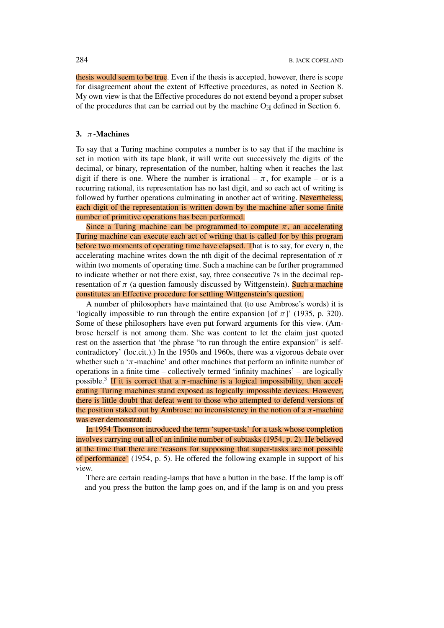thesis would seem to be true. Even if the thesis is accepted, however, there is scope for disagreement about the extent of Effective procedures, as noted in Section 8. My own view is that the Effective procedures do not extend beyond a proper subset of the procedures that can be carried out by the machine  $O_{\mathbb{H}}$  defined in Section 6.

## **3.** *π***-Machines**

To say that a Turing machine computes a number is to say that if the machine is set in motion with its tape blank, it will write out successively the digits of the decimal, or binary, representation of the number, halting when it reaches the last digit if there is one. Where the number is irrational  $-\pi$ , for example – or is a recurring rational, its representation has no last digit, and so each act of writing is followed by further operations culminating in another act of writing. Nevertheless, each digit of the representation is written down by the machine after some finite number of primitive operations has been performed.

Since a Turing machine can be programmed to compute  $\pi$ , an accelerating Turing machine can execute each act of writing that is called for by this program before two moments of operating time have elapsed. That is to say, for every n, the accelerating machine writes down the nth digit of the decimal representation of  $\pi$ within two moments of operating time. Such a machine can be further programmed to indicate whether or not there exist, say, three consecutive 7s in the decimal representation of *π* (a question famously discussed by Wittgenstein). Such a machine constitutes an Effective procedure for settling Wittgenstein's question.

A number of philosophers have maintained that (to use Ambrose's words) it is 'logically impossible to run through the entire expansion [of  $\pi$ ]' (1935, p. 320). Some of these philosophers have even put forward arguments for this view. (Ambrose herself is not among them. She was content to let the claim just quoted rest on the assertion that 'the phrase "to run through the entire expansion" is selfcontradictory' (loc.cit.).) In the 1950s and 1960s, there was a vigorous debate over whether such a '*π*-machine' and other machines that perform an infinite number of operations in a finite time – collectively termed 'infinity machines' – are logically possible.<sup>3</sup> If it is correct that a  $\pi$ -machine is a logical impossibility, then accelerating Turing machines stand exposed as logically impossible devices. However, there is little doubt that defeat went to those who attempted to defend versions of the position staked out by Ambrose: no inconsistency in the notion of a  $\pi$ -machine was ever demonstrated.

In 1954 Thomson introduced the term 'super-task' for a task whose completion involves carrying out all of an infinite number of subtasks (1954, p. 2). He believed at the time that there are 'reasons for supposing that super-tasks are not possible of performance' (1954, p. 5). He offered the following example in support of his view.

There are certain reading-lamps that have a button in the base. If the lamp is off and you press the button the lamp goes on, and if the lamp is on and you press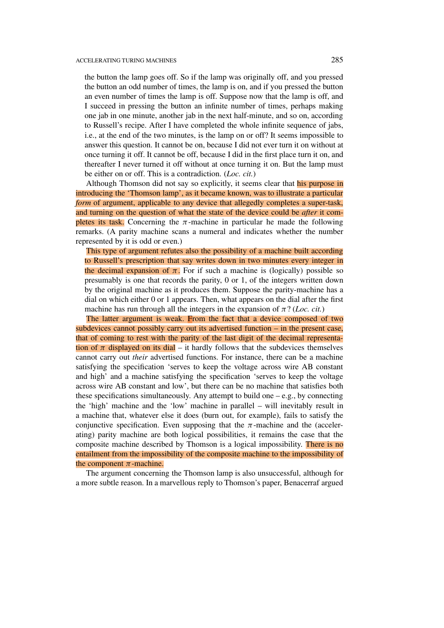the button the lamp goes off. So if the lamp was originally off, and you pressed the button an odd number of times, the lamp is on, and if you pressed the button an even number of times the lamp is off. Suppose now that the lamp is off, and I succeed in pressing the button an infinite number of times, perhaps making one jab in one minute, another jab in the next half-minute, and so on, according to Russell's recipe. After I have completed the whole infinite sequence of jabs, i.e., at the end of the two minutes, is the lamp on or off? It seems impossible to answer this question. It cannot be on, because I did not ever turn it on without at once turning it off. It cannot be off, because I did in the first place turn it on, and thereafter I never turned it off without at once turning it on. But the lamp must be either on or off. This is a contradiction. (*Loc. cit.*)

Although Thomson did not say so explicitly, it seems clear that his purpose in introducing the 'Thomson lamp', as it became known, was to illustrate a particular *form* of argument, applicable to any device that allegedly completes a super-task, and turning on the question of what the state of the device could be *after* it completes its task. Concerning the  $\pi$ -machine in particular he made the following remarks. (A parity machine scans a numeral and indicates whether the number represented by it is odd or even.)

This type of argument refutes also the possibility of a machine built according to Russell's prescription that say writes down in two minutes every integer in the decimal expansion of  $\pi$ . For if such a machine is (logically) possible so presumably is one that records the parity, 0 or 1, of the integers written down by the original machine as it produces them. Suppose the parity-machine has a dial on which either 0 or 1 appears. Then, what appears on the dial after the first machine has run through all the integers in the expansion of  $\pi$ ? (*Loc. cit.*)

The latter argument is weak. From the fact that a device composed of two subdevices cannot possibly carry out its advertised function – in the present case, that of coming to rest with the parity of the last digit of the decimal representation of  $\pi$  displayed on its dial – it hardly follows that the subdevices themselves cannot carry out *their* advertised functions. For instance, there can be a machine satisfying the specification 'serves to keep the voltage across wire AB constant and high' and a machine satisfying the specification 'serves to keep the voltage across wire AB constant and low', but there can be no machine that satisfies both these specifications simultaneously. Any attempt to build one  $-e.g.,$  by connecting the 'high' machine and the 'low' machine in parallel – will inevitably result in a machine that, whatever else it does (burn out, for example), fails to satisfy the conjunctive specification. Even supposing that the  $\pi$ -machine and the (accelerating) parity machine are both logical possibilities, it remains the case that the composite machine described by Thomson is a logical impossibility. There is no entailment from the impossibility of the composite machine to the impossibility of the component  $\pi$ -machine.

The argument concerning the Thomson lamp is also unsuccessful, although for a more subtle reason. In a marvellous reply to Thomson's paper, Benacerraf argued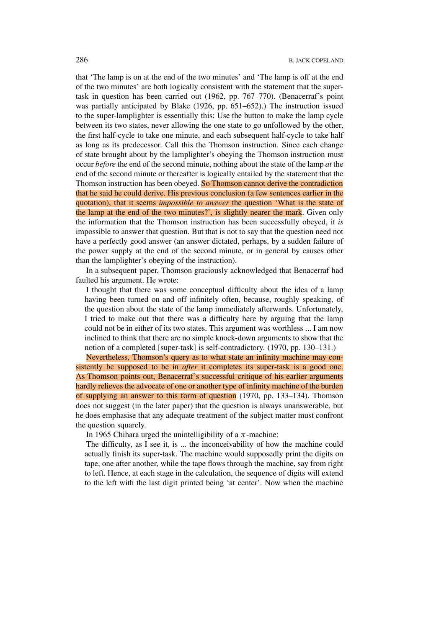that 'The lamp is on at the end of the two minutes' and 'The lamp is off at the end of the two minutes' are both logically consistent with the statement that the supertask in question has been carried out (1962, pp. 767–770). (Benacerraf's point was partially anticipated by Blake (1926, pp. 651–652).) The instruction issued to the super-lamplighter is essentially this: Use the button to make the lamp cycle between its two states, never allowing the one state to go unfollowed by the other, the first half-cycle to take one minute, and each subsequent half-cycle to take half as long as its predecessor. Call this the Thomson instruction. Since each change of state brought about by the lamplighter's obeying the Thomson instruction must occur *before* the end of the second minute, nothing about the state of the lamp *at* the end of the second minute or thereafter is logically entailed by the statement that the Thomson instruction has been obeyed. So Thomson cannot derive the contradiction that he said he could derive. His previous conclusion (a few sentences earlier in the quotation), that it seems *impossible to answer* the question 'What is the state of the lamp at the end of the two minutes?', is slightly nearer the mark. Given only the information that the Thomson instruction has been successfully obeyed, it *is* impossible to answer that question. But that is not to say that the question need not have a perfectly good answer (an answer dictated, perhaps, by a sudden failure of the power supply at the end of the second minute, or in general by causes other than the lamplighter's obeying of the instruction).

In a subsequent paper, Thomson graciously acknowledged that Benacerraf had faulted his argument. He wrote:

I thought that there was some conceptual difficulty about the idea of a lamp having been turned on and off infinitely often, because, roughly speaking, of the question about the state of the lamp immediately afterwards. Unfortunately, I tried to make out that there was a difficulty here by arguing that the lamp could not be in either of its two states. This argument was worthless ... I am now inclined to think that there are no simple knock-down arguments to show that the notion of a completed [super-task] is self-contradictory. (1970, pp. 130–131.)

Nevertheless, Thomson's query as to what state an infinity machine may consistently be supposed to be in *after* it completes its super-task is a good one. As Thomson points out, Benacerraf's successful critique of his earlier arguments hardly relieves the advocate of one or another type of infinity machine of the burden of supplying an answer to this form of question (1970, pp. 133–134). Thomson does not suggest (in the later paper) that the question is always unanswerable, but he does emphasise that any adequate treatment of the subject matter must confront the question squarely.

In 1965 Chihara urged the unintelligibility of a  $\pi$ -machine:

The difficulty, as I see it, is ... the inconceivability of how the machine could actually finish its super-task. The machine would supposedly print the digits on tape, one after another, while the tape flows through the machine, say from right to left. Hence, at each stage in the calculation, the sequence of digits will extend to the left with the last digit printed being 'at center'. Now when the machine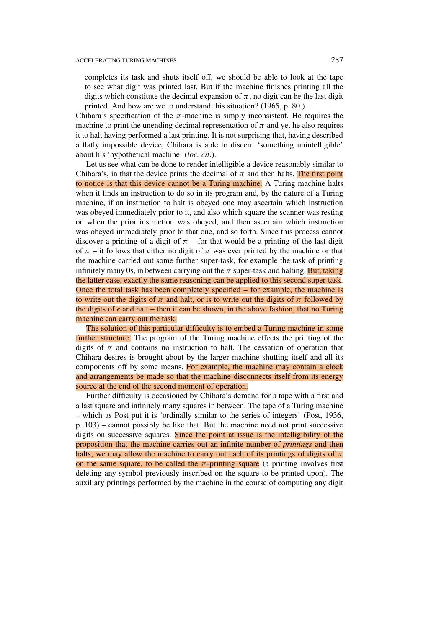completes its task and shuts itself off, we should be able to look at the tape to see what digit was printed last. But if the machine finishes printing all the digits which constitute the decimal expansion of  $\pi$ , no digit can be the last digit printed. And how are we to understand this situation? (1965, p. 80.)

Chihara's specification of the  $\pi$ -machine is simply inconsistent. He requires the machine to print the unending decimal representation of  $\pi$  and yet he also requires it to halt having performed a last printing. It is not surprising that, having described a flatly impossible device, Chihara is able to discern 'something unintelligible' about his 'hypothetical machine' (*loc. cit*.).

Let us see what can be done to render intelligible a device reasonably similar to Chihara's, in that the device prints the decimal of  $\pi$  and then halts. The first point to notice is that this device cannot be a Turing machine. A Turing machine halts when it finds an instruction to do so in its program and, by the nature of a Turing machine, if an instruction to halt is obeyed one may ascertain which instruction was obeyed immediately prior to it, and also which square the scanner was resting on when the prior instruction was obeyed, and then ascertain which instruction was obeyed immediately prior to that one, and so forth. Since this process cannot discover a printing of a digit of  $\pi$  – for that would be a printing of the last digit of  $\pi$  – it follows that either no digit of  $\pi$  was ever printed by the machine or that the machine carried out some further super-task, for example the task of printing infinitely many 0s, in between carrying out the  $\pi$  super-task and halting. But, taking the latter case, exactly the same reasoning can be applied to this second super-task. Once the total task has been completely specified – for example, the machine is to write out the digits of  $\pi$  and halt, or is to write out the digits of  $\pi$  followed by the digits of *e* and halt – then it can be shown, in the above fashion, that no Turing machine can carry out the task.

The solution of this particular difficulty is to embed a Turing machine in some further structure. The program of the Turing machine effects the printing of the digits of  $\pi$  and contains no instruction to halt. The cessation of operation that Chihara desires is brought about by the larger machine shutting itself and all its components off by some means. For example, the machine may contain a clock and arrangements be made so that the machine disconnects itself from its energy source at the end of the second moment of operation.

Further difficulty is occasioned by Chihara's demand for a tape with a first and a last square and infinitely many squares in between. The tape of a Turing machine – which as Post put it is 'ordinally similar to the series of integers' (Post, 1936, p. 103) – cannot possibly be like that. But the machine need not print successive digits on successive squares. Since the point at issue is the intelligibility of the proposition that the machine carries out an infinite number of *printings* and then halts, we may allow the machine to carry out each of its printings of digits of  $\pi$ on the same square, to be called the  $\pi$ -printing square (a printing involves first deleting any symbol previously inscribed on the square to be printed upon). The auxiliary printings performed by the machine in the course of computing any digit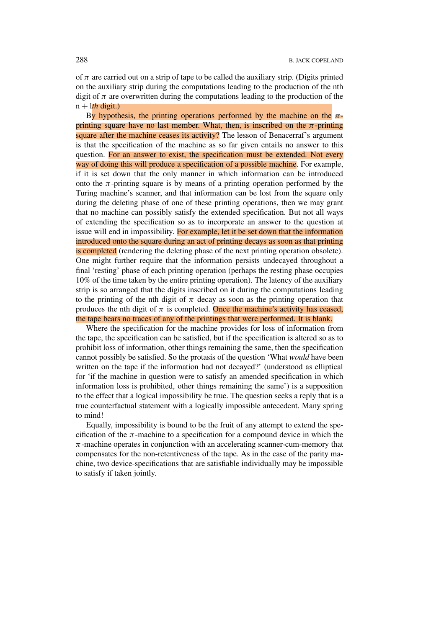of  $\pi$  are carried out on a strip of tape to be called the auxiliary strip. (Digits printed on the auxiliary strip during the computations leading to the production of the nth digit of  $\pi$  are overwritten during the computations leading to the production of the  $n + l$ *th* digit.)

By hypothesis, the printing operations performed by the machine on the  $\pi$ printing square have no last member. What, then, is inscribed on the  $\pi$ -printing square after the machine ceases its activity? The lesson of Benacerraf's argument is that the specification of the machine as so far given entails no answer to this question. For an answer to exist, the specification must be extended. Not every way of doing this will produce a specification of a possible machine. For example, if it is set down that the only manner in which information can be introduced onto the  $\pi$ -printing square is by means of a printing operation performed by the Turing machine's scanner, and that information can be lost from the square only during the deleting phase of one of these printing operations, then we may grant that no machine can possibly satisfy the extended specification. But not all ways of extending the specification so as to incorporate an answer to the question at issue will end in impossibility. For example, let it be set down that the information introduced onto the square during an act of printing decays as soon as that printing is completed (rendering the deleting phase of the next printing operation obsolete). One might further require that the information persists undecayed throughout a final 'resting' phase of each printing operation (perhaps the resting phase occupies 10% of the time taken by the entire printing operation). The latency of the auxiliary strip is so arranged that the digits inscribed on it during the computations leading to the printing of the nth digit of  $\pi$  decay as soon as the printing operation that produces the nth digit of  $\pi$  is completed. Once the machine's activity has ceased, the tape bears no traces of any of the printings that were performed. It is blank.

Where the specification for the machine provides for loss of information from the tape, the specification can be satisfied, but if the specification is altered so as to prohibit loss of information, other things remaining the same, then the specification cannot possibly be satisfied. So the protasis of the question 'What *would* have been written on the tape if the information had not decayed?' (understood as elliptical for 'if the machine in question were to satisfy an amended specification in which information loss is prohibited, other things remaining the same') is a supposition to the effect that a logical impossibility be true. The question seeks a reply that is a true counterfactual statement with a logically impossible antecedent. Many spring to mind!

Equally, impossibility is bound to be the fruit of any attempt to extend the specification of the  $\pi$ -machine to a specification for a compound device in which the  $\pi$ -machine operates in conjunction with an accelerating scanner-cum-memory that compensates for the non-retentiveness of the tape. As in the case of the parity machine, two device-specifications that are satisfiable individually may be impossible to satisfy if taken jointly.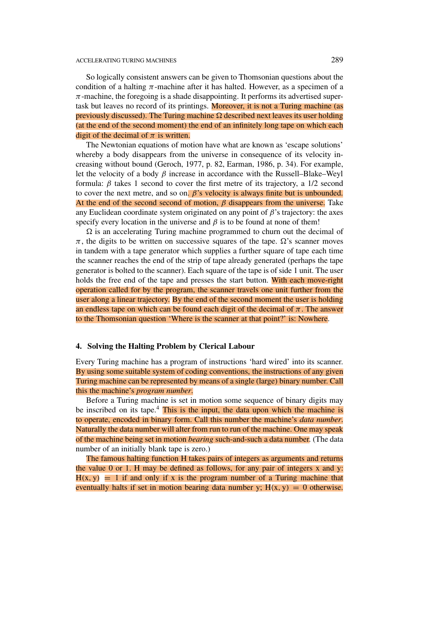So logically consistent answers can be given to Thomsonian questions about the condition of a halting  $\pi$ -machine after it has halted. However, as a specimen of a  $\pi$ -machine, the foregoing is a shade disappointing. It performs its advertised supertask but leaves no record of its printings. Moreover, it is not a Turing machine (as previously discussed). The Turing machine  $\Omega$  described next leaves its user holding (at the end of the second moment) the end of an infinitely long tape on which each digit of the decimal of  $\pi$  is written.

The Newtonian equations of motion have what are known as 'escape solutions' whereby a body disappears from the universe in consequence of its velocity increasing without bound (Geroch, 1977, p. 82, Earman, 1986, p. 34). For example, let the velocity of a body  $\beta$  increase in accordance with the Russell–Blake–Weyl formula:  $\beta$  takes 1 second to cover the first metre of its trajectory, a 1/2 second to cover the next metre, and so on. *β*'s velocity is always finite but is unbounded. At the end of the second second of motion, *β* disappears from the universe. Take any Euclidean coordinate system originated on any point of *β*'s trajectory: the axes specify every location in the universe and  $\beta$  is to be found at none of them!

 $\Omega$  is an accelerating Turing machine programmed to churn out the decimal of  $\pi$ , the digits to be written on successive squares of the tape.  $\Omega$ 's scanner moves in tandem with a tape generator which supplies a further square of tape each time the scanner reaches the end of the strip of tape already generated (perhaps the tape generator is bolted to the scanner). Each square of the tape is of side 1 unit. The user holds the free end of the tape and presses the start button. With each move-right operation called for by the program, the scanner travels one unit further from the user along a linear trajectory. By the end of the second moment the user is holding an endless tape on which can be found each digit of the decimal of *π*. The answer to the Thomsonian question 'Where is the scanner at that point?' is: Nowhere.

## **4. Solving the Halting Problem by Clerical Labour**

Every Turing machine has a program of instructions 'hard wired' into its scanner. By using some suitable system of coding conventions, the instructions of any given Turing machine can be represented by means of a single (large) binary number. Call this the machine's *program number*.

Before a Turing machine is set in motion some sequence of binary digits may be inscribed on its tape.<sup>4</sup> This is the input, the data upon which the machine is to operate, encoded in binary form. Call this number the machine's *data number*. Naturally the data number will alter from run to run of the machine. One may speak of the machine being set in motion *bearing* such-and-such a data number. (The data number of an initially blank tape is zero.)

The famous halting function H takes pairs of integers as arguments and returns the value 0 or 1. H may be defined as follows, for any pair of integers x and y:  $H(x, y) = 1$  if and only if x is the program number of a Turing machine that eventually halts if set in motion bearing data number y;  $H(x, y) = 0$  otherwise.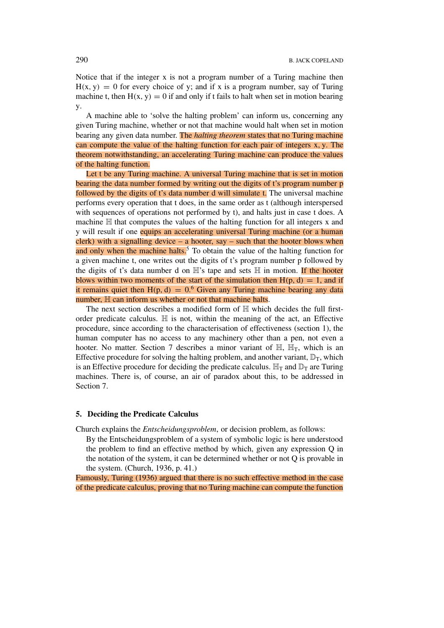Notice that if the integer x is not a program number of a Turing machine then  $H(x, y) = 0$  for every choice of y; and if x is a program number, say of Turing machine t, then  $H(x, y) = 0$  if and only if t fails to halt when set in motion bearing y.

A machine able to 'solve the halting problem' can inform us, concerning any given Turing machine, whether or not that machine would halt when set in motion bearing any given data number. The *halting theorem* states that no Turing machine can compute the value of the halting function for each pair of integers x*,* y. The theorem notwithstanding, an accelerating Turing machine can produce the values of the halting function.

Let t be any Turing machine. A universal Turing machine that is set in motion bearing the data number formed by writing out the digits of t's program number p followed by the digits of t's data number d will simulate t. The universal machine performs every operation that t does, in the same order as t (although interspersed with sequences of operations not performed by t), and halts just in case t does. A machine  $H$  that computes the values of the halting function for all integers x and y will result if one equips an accelerating universal Turing machine (or a human clerk) with a signalling device  $-$  a hooter, say  $-$  such that the hooter blows when and only when the machine halts.<sup>5</sup> To obtain the value of the halting function for a given machine t, one writes out the digits of t's program number p followed by the digits of t's data number d on  $\mathbb{H}$ 's tape and sets  $\mathbb{H}$  in motion. If the hooter blows within two moments of the start of the simulation then  $H(p, d) = 1$ , and if it remains quiet then  $H(p, d) = 0.6$  Given any Turing machine bearing any data number. H can inform us whether or not that machine halts.

The next section describes a modified form of  $\mathbb H$  which decides the full firstorder predicate calculus. H is not, within the meaning of the act, an Effective procedure, since according to the characterisation of effectiveness (section 1), the human computer has no access to any machinery other than a pen, not even a hooter. No matter. Section 7 describes a minor variant of  $\mathbb{H}$ ,  $\mathbb{H}_T$ , which is an Effective procedure for solving the halting problem, and another variant,  $\mathbb{D}_T$ , which is an Effective procedure for deciding the predicate calculus.  $\mathbb{H}_{T}$  and  $\mathbb{D}_{T}$  are Turing machines. There is, of course, an air of paradox about this, to be addressed in Section 7.

## **5. Deciding the Predicate Calculus**

Church explains the *Entscheidungsproblem*, or decision problem, as follows:

By the Entscheidungsproblem of a system of symbolic logic is here understood the problem to find an effective method by which, given any expression Q in the notation of the system, it can be determined whether or not Q is provable in the system. (Church, 1936, p. 41.)

Famously, Turing (1936) argued that there is no such effective method in the case of the predicate calculus, proving that no Turing machine can compute the function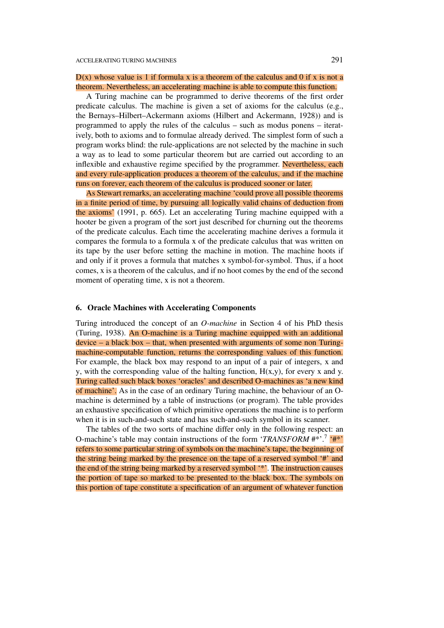$D(x)$  whose value is 1 if formula x is a theorem of the calculus and 0 if x is not a theorem. Nevertheless, an accelerating machine is able to compute this function.

A Turing machine can be programmed to derive theorems of the first order predicate calculus. The machine is given a set of axioms for the calculus (e.g., the Bernays–Hilbert–Ackermann axioms (Hilbert and Ackermann, 1928)) and is programmed to apply the rules of the calculus – such as modus ponens – iteratively, both to axioms and to formulae already derived. The simplest form of such a program works blind: the rule-applications are not selected by the machine in such a way as to lead to some particular theorem but are carried out according to an inflexible and exhaustive regime specified by the programmer. Nevertheless, each and every rule-application produces a theorem of the calculus, and if the machine runs on forever, each theorem of the calculus is produced sooner or later.

As Stewart remarks, an accelerating machine 'could prove all possible theorems in a finite period of time, by pursuing all logically valid chains of deduction from the axioms' (1991, p. 665). Let an accelerating Turing machine equipped with a hooter be given a program of the sort just described for churning out the theorems of the predicate calculus. Each time the accelerating machine derives a formula it compares the formula to a formula x of the predicate calculus that was written on its tape by the user before setting the machine in motion. The machine hoots if and only if it proves a formula that matches x symbol-for-symbol. Thus, if a hoot comes, x is a theorem of the calculus, and if no hoot comes by the end of the second moment of operating time, x is not a theorem.

## **6. Oracle Machines with Accelerating Components**

Turing introduced the concept of an *O-machine* in Section 4 of his PhD thesis (Turing, 1938). An O-machine is a Turing machine equipped with an additional device – a black box – that, when presented with arguments of some non Turingmachine-computable function, returns the corresponding values of this function. For example, the black box may respond to an input of a pair of integers, x and y, with the corresponding value of the halting function,  $H(x,y)$ , for every x and y. Turing called such black boxes 'oracles' and described O-machines as 'a new kind of machine'. As in the case of an ordinary Turing machine, the behaviour of an Omachine is determined by a table of instructions (or program). The table provides an exhaustive specification of which primitive operations the machine is to perform when it is in such-and-such state and has such-and-such symbol in its scanner.

The tables of the two sorts of machine differ only in the following respect: an O-machine's table may contain instructions of the form '*TRANSFORM* #\*'.<sup>7</sup> '#\*' refers to some particular string of symbols on the machine's tape, the beginning of the string being marked by the presence on the tape of a reserved symbol '#' and the end of the string being marked by a reserved symbol '\*'. The instruction causes the portion of tape so marked to be presented to the black box. The symbols on this portion of tape constitute a specification of an argument of whatever function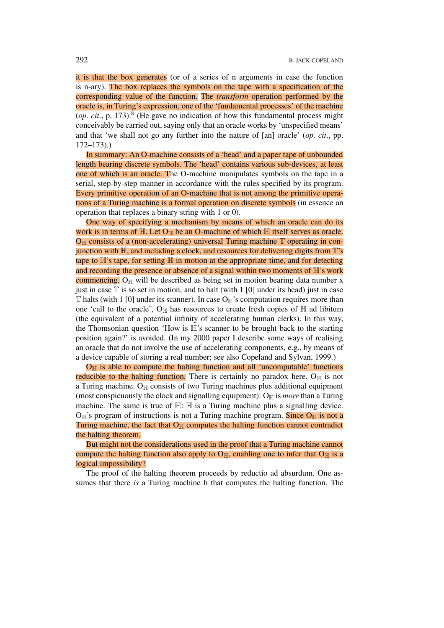it is that the box generates (or of a series of n arguments in case the function is n-ary). The box replaces the symbols on the tape with a specification of the corresponding value of the function. The *transform* operation performed by the oracle is, in Turing's expression, one of the 'fundamental processes' of the machine (*op. cit*., p. 173).<sup>8</sup> (He gave no indication of how this fundamental process might conceivably be carried out, saying only that an oracle works by 'unspecified means' and that 'we shall not go any further into the nature of [an] oracle' (*op. cit*., pp. 172–173).)

In summary: An O-machine consists of a 'head' and a paper tape of unbounded length bearing discrete symbols. The 'head' contains various sub-devices, at least one of which is an oracle. The O-machine manipulates symbols on the tape in a serial, step-by-step manner in accordance with the rules specified by its program. Every primitive operation of an O-machine that is not among the primitive operations of a Turing machine is a formal operation on discrete symbols (in essence an operation that replaces a binary string with 1 or 0).

One way of specifying a mechanism by means of which an oracle can do its work is in terms of  $\mathbb{H}$ . Let O<sub> $\mathbb{H}$ </sub> be an O-machine of which  $\mathbb{H}$  itself serves as oracle.  $O_{\mathbb{H}}$  consists of a (non-accelerating) universal Turing machine  $\mathbb T$  operating in conjunction with  $\mathbb{H}$ , and including a clock, and resources for delivering digits from  $\mathbb{T}$ 's tape to  $\mathbb{H}$ 's tape, for setting  $\mathbb{H}$  in motion at the appropriate time, and for detecting and recording the presence or absence of a signal within two moments of  $\mathbb{H}$ 's work commencing. O $_H$  will be described as being set in motion bearing data number x just in case  $T$  is so set in motion, and to halt (with 1 [0] under its head) just in case T halts (with 1 [0] under its scanner). In case  $O_H$ 's computation requires more than one 'call to the oracle',  $O_{\mathbb{H}}$  has resources to create fresh copies of  $\mathbb{H}$  ad libitum (the equivalent of a potential infinity of accelerating human clerks). In this way, the Thomsonian question 'How is H's scanner to be brought back to the starting position again?' is avoided. (In my 2000 paper I describe some ways of realising an oracle that do not involve the use of accelerating components, e.g., by means of a device capable of storing a real number; see also Copeland and Sylvan, 1999.)

 $O_{\mathbb{H}}$  is able to compute the halting function and all 'uncomputable' functions reducible to the halting function. There is certainly no paradox here.  $O_{\mathbb{H}}$  is not a Turing machine.  $O_{\mathbb{H}}$  consists of two Turing machines plus additional equipment (most conspicuously the clock and signalling equipment):  $O_{\mathbb{H}}$  is *more* than a Turing machine. The same is true of H: H is a Turing machine plus a signalling device.  $O_{\mathbb{H}}$ 's program of instructions is not a Turing machine program. Since  $O_{\mathbb{H}}$  is not a Turing machine, the fact that  $O_{\mathbb{H}}$  computes the halting function cannot contradict the halting theorem.

But might not the considerations used in the proof that a Turing machine cannot compute the halting function also apply to  $O_{\mathbb{H}}$ , enabling one to infer that  $O_{\mathbb{H}}$  is a logical impossibility?

The proof of the halting theorem proceeds by reductio ad absurdum. One assumes that there *is* a Turing machine h that computes the halting function. The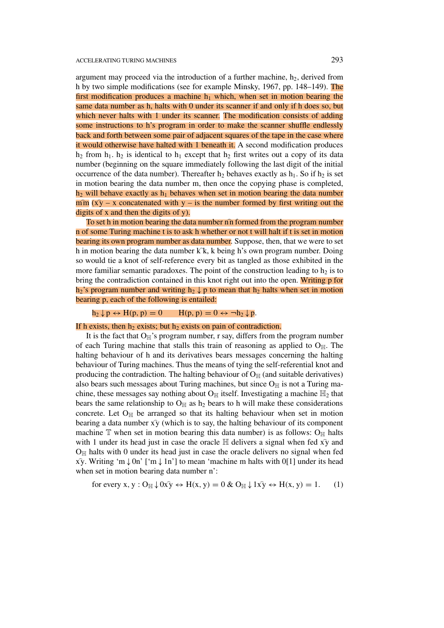#### ACCELERATING TURING MACHINES 293

argument may proceed via the introduction of a further machine,  $h_2$ , derived from h by two simple modifications (see for example Minsky, 1967, pp. 148–149). The first modification produces a machine  $h_1$  which, when set in motion bearing the same data number as h, halts with 0 under its scanner if and only if h does so, but which never halts with 1 under its scanner. The modification consists of adding some instructions to h's program in order to make the scanner shuffle endlessly back and forth between some pair of adjacent squares of the tape in the case where it would otherwise have halted with 1 beneath it. A second modification produces h<sub>2</sub> from h<sub>1</sub>. h<sub>2</sub> is identical to h<sub>1</sub> except that h<sub>2</sub> first writes out a copy of its data number (beginning on the square immediately following the last digit of the initial occurrence of the data number). Thereafter  $h_2$  behaves exactly as  $h_1$ . So if  $h_2$  is set in motion bearing the data number m, then once the copying phase is completed,  $h_2$  will behave exactly as  $h_1$  behaves when set in motion bearing the data number  $\widehat{\text{mm}}$  (xy – x concatenated with y – is the number formed by first writing out the digits of x and then the digits of y).

To set h in motion bearing the data number nn formed from the program number n of some Turing machine t is to ask h whether or not t will halt if t is set in motion bearing its own program number as data number. Suppose, then, that we were to set h in motion bearing the data number  $k \bar{k}$ , k being h's own program number. Doing so would tie a knot of self-reference every bit as tangled as those exhibited in the more familiar semantic paradoxes. The point of the construction leading to  $h_2$  is to bring the contradiction contained in this knot right out into the open. Writing p for h<sub>2</sub>'s program number and writing h<sub>2</sub>  $\downarrow$  p to mean that h<sub>2</sub> halts when set in motion bearing p, each of the following is entailed:

## $h_2 \downarrow p \leftrightarrow H(p, p) = 0$   $H(p, p) = 0 \leftrightarrow \neg h_2 \downarrow p.$

## If h exists, then  $h_2$  exists; but h<sub>2</sub> exists on pain of contradiction.

It is the fact that  $O_{\mathbb{H}}$ 's program number, r say, differs from the program number of each Turing machine that stalls this train of reasoning as applied to  $O_{\mathbb{H}}$ . The halting behaviour of h and its derivatives bears messages concerning the halting behaviour of Turing machines. Thus the means of tying the self-referential knot and producing the contradiction. The halting behaviour of  $O_{\mathbb{H}}$  (and suitable derivatives) also bears such messages about Turing machines, but since  $O_{\mathbb{H}}$  is not a Turing machine, these messages say nothing about  $O_H$  itself. Investigating a machine  $H_2$  that bears the same relationship to  $O_{\mathbb{H}}$  as  $h_2$  bears to h will make these considerations concrete. Let  $O_{\mathbb{H}}$  be arranged so that its halting behaviour when set in motion bearing a data number  $x\hat{y}$  (which is to say, the halting behaviour of its component machine  $\mathbb T$  when set in motion bearing this data number) is as follows: O $_{\mathbb H}$  halts with 1 under its head just in case the oracle  $\mathbb H$  delivers a signal when fed xy and  $O<sub>III</sub>$  halts with 0 under its head just in case the oracle delivers no signal when fed  $x\hat{y}$ . Writing 'm  $\downarrow$  0n' ['m  $\downarrow$  1n'] to mean 'machine m halts with 0[1] under its head when set in motion bearing data number n':

for every x, y: O<sub>||</sub>
$$
\downarrow
$$
 0x $\hat{y} \leftrightarrow H(x, y) = 0 & O|| \downarrow 1x\hat{y} \leftrightarrow H(x, y) = 1.$  (1)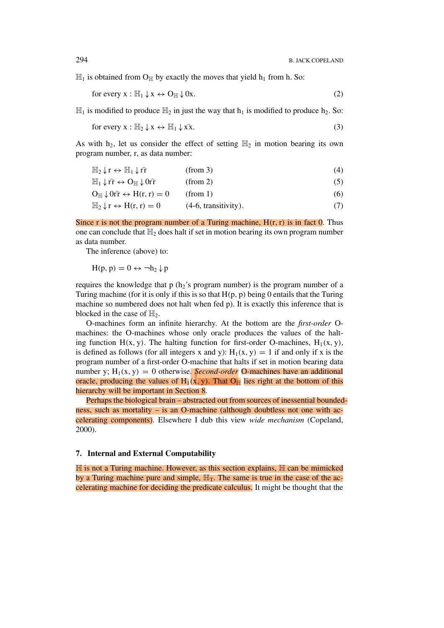$\mathbb{H}_1$  is obtained from O<sub>H</sub> by exactly the moves that yield h<sub>1</sub> from h. So:

for every 
$$
x : \mathbb{H}_1 \downarrow x \leftrightarrow O_{\mathbb{H}} \downarrow 0x.
$$
 (2)

 $\mathbb{H}_1$  is modified to produce  $\mathbb{H}_2$  in just the way that  $h_1$  is modified to produce  $h_2$ . So:

for every 
$$
x : \mathbb{H}_2 \downarrow x \leftrightarrow \mathbb{H}_1 \downarrow x\hat{x}
$$
. (3)

As with  $h_2$ , let us consider the effect of setting  $\mathbb{H}_2$  in motion bearing its own program number, r, as data number:

$$
\mathbb{H}_2 \downarrow r \leftrightarrow \mathbb{H}_1 \downarrow r\hat{r} \qquad \qquad \text{(from 3)} \tag{4}
$$

$$
\mathbb{H}_1 \downarrow \hat{\mathbf{r}} \leftrightarrow \mathbf{O}_{\mathbb{H}} \downarrow 0 \hat{\mathbf{r}} \qquad \qquad \text{(from 2)} \tag{5}
$$

$$
O_{\mathbb{H}} \downarrow 0 \text{fr} \leftrightarrow H(r, r) = 0 \qquad \text{(from 1)} \tag{6}
$$

$$
\mathbb{H}_2 \downarrow r \leftrightarrow H(r, r) = 0 \qquad (4-6, transitivity). \tag{7}
$$

Since r is not the program number of a Turing machine, H*(*r*,*r*)* is in fact 0. Thus one can conclude that  $\mathbb{H}_2$  does halt if set in motion bearing its own program number as data number.

The inference (above) to:

$$
H(p, p) = 0 \leftrightarrow \neg h_2 \downarrow p
$$

requires the knowledge that p  $(h_2)$ 's program number) is the program number of a Turing machine (for it is only if this is so that H*(*p*,* p*)* being 0 entails that the Turing machine so numbered does not halt when fed p). It is exactly this inference that is blocked in the case of  $\mathbb{H}_2$ .

O-machines form an infinite hierarchy. At the bottom are the *first-order* Omachines: the O-machines whose only oracle produces the values of the halting function  $H(x, y)$ . The halting function for first-order O-machines,  $H_1(x, y)$ , is defined as follows (for all integers x and y):  $H_1(x, y) = 1$  if and only if x is the program number of a first-order O-machine that halts if set in motion bearing data number y;  $H_1(x, y) = 0$  otherwise. *Second-order* O-machines have an additional oracle, producing the values of  $H_1(x, y)$ . That O<sub>H</sub> lies right at the bottom of this hierarchy will be important in Section 8.

Perhaps the biological brain – abstracted out from sources of inessential boundedness, such as mortality – is an O-machine (although doubtless not one with accelerating components). Elsewhere I dub this view *wide mechanism* (Copeland, 2000).

## **7. Internal and External Computability**

H is not a Turing machine. However, as this section explains, H can be mimicked by a Turing machine pure and simple,  $\mathbb{H}_{T}$ . The same is true in the case of the accelerating machine for deciding the predicate calculus. It might be thought that the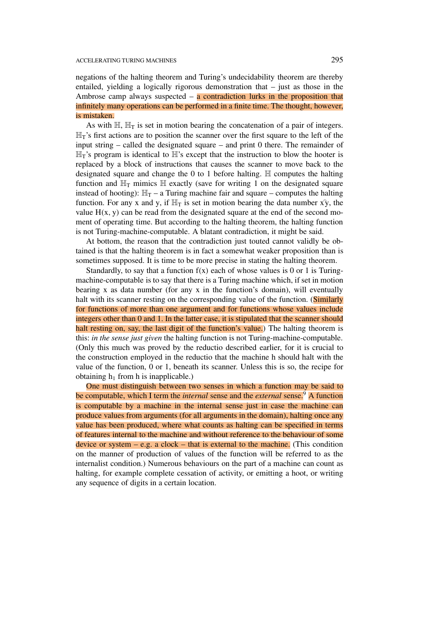negations of the halting theorem and Turing's undecidability theorem are thereby entailed, yielding a logically rigorous demonstration that – just as those in the Ambrose camp always suspected  $-$  a contradiction lurks in the proposition that infinitely many operations can be performed in a finite time. The thought, however, is mistaken.

As with  $\mathbb{H}$ ,  $\mathbb{H}_T$  is set in motion bearing the concatenation of a pair of integers.  $\mathbb{H}_{\mathbb{T}}$ 's first actions are to position the scanner over the first square to the left of the input string – called the designated square – and print 0 there. The remainder of  $\mathbb{H}_{\mathbb{T}}$ 's program is identical to  $\mathbb{H}$ 's except that the instruction to blow the hooter is replaced by a block of instructions that causes the scanner to move back to the designated square and change the  $0$  to 1 before halting.  $H$  computes the halting function and  $\mathbb{H}_{\mathbb{T}}$  mimics  $\mathbb{H}$  exactly (save for writing 1 on the designated square instead of hooting):  $\mathbb{H}_{T}$  – a Turing machine fair and square – computes the halting function. For any x and y, if  $\mathbb{H}_{\mathbb{T}}$  is set in motion bearing the data number xy, the value  $H(x, y)$  can be read from the designated square at the end of the second moment of operating time. But according to the halting theorem, the halting function is not Turing-machine-computable. A blatant contradiction, it might be said.

At bottom, the reason that the contradiction just touted cannot validly be obtained is that the halting theorem is in fact a somewhat weaker proposition than is sometimes supposed. It is time to be more precise in stating the halting theorem.

Standardly, to say that a function  $f(x)$  each of whose values is 0 or 1 is Turingmachine-computable is to say that there is a Turing machine which, if set in motion bearing x as data number (for any x in the function's domain), will eventually halt with its scanner resting on the corresponding value of the function. (Similarly for functions of more than one argument and for functions whose values include integers other than 0 and 1. In the latter case, it is stipulated that the scanner should halt resting on, say, the last digit of the function's value.) The halting theorem is this: *in the sense just given* the halting function is not Turing-machine-computable. (Only this much was proved by the reductio described earlier, for it is crucial to the construction employed in the reductio that the machine h should halt with the value of the function, 0 or 1, beneath its scanner. Unless this is so, the recipe for obtaining  $h_1$  from h is inapplicable.)

One must distinguish between two senses in which a function may be said to be computable, which I term the *internal* sense and the *external* sense.<sup>9</sup> A function is computable by a machine in the internal sense just in case the machine can produce values from arguments (for all arguments in the domain), halting once any value has been produced, where what counts as halting can be specified in terms of features internal to the machine and without reference to the behaviour of some device or system  $-$  e.g. a clock  $-$  that is external to the machine. (This condition on the manner of production of values of the function will be referred to as the internalist condition.) Numerous behaviours on the part of a machine can count as halting, for example complete cessation of activity, or emitting a hoot, or writing any sequence of digits in a certain location.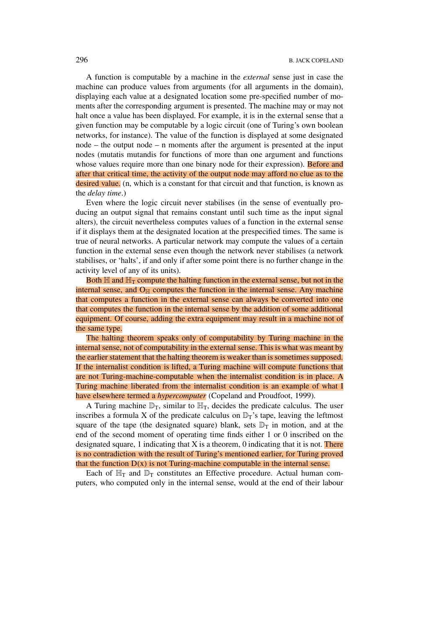A function is computable by a machine in the *external* sense just in case the machine can produce values from arguments (for all arguments in the domain), displaying each value at a designated location some pre-specified number of moments after the corresponding argument is presented. The machine may or may not halt once a value has been displayed. For example, it is in the external sense that a given function may be computable by a logic circuit (one of Turing's own boolean networks, for instance). The value of the function is displayed at some designated node – the output node – n moments after the argument is presented at the input nodes (mutatis mutandis for functions of more than one argument and functions whose values require more than one binary node for their expression). **Before and** after that critical time, the activity of the output node may afford no clue as to the desired value. (n, which is a constant for that circuit and that function, is known as the *delay time*.)

Even where the logic circuit never stabilises (in the sense of eventually producing an output signal that remains constant until such time as the input signal alters), the circuit nevertheless computes values of a function in the external sense if it displays them at the designated location at the prespecified times. The same is true of neural networks. A particular network may compute the values of a certain function in the external sense even though the network never stabilises (a network stabilises, or 'halts', if and only if after some point there is no further change in the activity level of any of its units).

Both  $\mathbb{H}$  and  $\mathbb{H}_T$  compute the halting function in the external sense, but not in the internal sense, and  $O_{\mathbb{H}}$  computes the function in the internal sense. Any machine that computes a function in the external sense can always be converted into one that computes the function in the internal sense by the addition of some additional equipment. Of course, adding the extra equipment may result in a machine not of the same type.

The halting theorem speaks only of computability by Turing machine in the internal sense, not of computability in the external sense. This is what was meant by the earlier statement that the halting theorem is weaker than is sometimes supposed. If the internalist condition is lifted, a Turing machine will compute functions that are not Turing-machine-computable when the internalist condition is in place. A Turing machine liberated from the internalist condition is an example of what I have elsewhere termed a *hypercomputer* (Copeland and Proudfoot, 1999).

A Turing machine  $\mathbb{D}_T$ , similar to  $\mathbb{H}_T$ , decides the predicate calculus. The user inscribes a formula X of the predicate calculus on  $\mathbb{D}_T$ 's tape, leaving the leftmost square of the tape (the designated square) blank, sets  $\mathbb{D}_T$  in motion, and at the end of the second moment of operating time finds either 1 or 0 inscribed on the designated square, 1 indicating that  $X$  is a theorem, 0 indicating that it is not. There is no contradiction with the result of Turing's mentioned earlier, for Turing proved that the function  $D(x)$  is not Turing-machine computable in the internal sense.

Each of  $\mathbb{H}_{T}$  and  $\mathbb{D}_{T}$  constitutes an Effective procedure. Actual human computers, who computed only in the internal sense, would at the end of their labour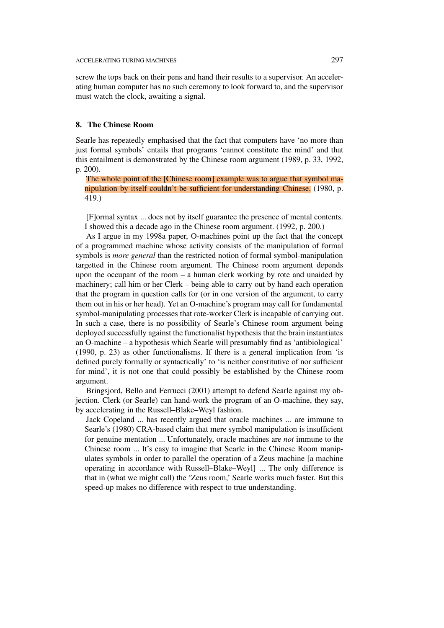screw the tops back on their pens and hand their results to a supervisor. An accelerating human computer has no such ceremony to look forward to, and the supervisor must watch the clock, awaiting a signal.

#### **8. The Chinese Room**

Searle has repeatedly emphasised that the fact that computers have 'no more than just formal symbols' entails that programs 'cannot constitute the mind' and that this entailment is demonstrated by the Chinese room argument (1989, p. 33, 1992, p. 200).

The whole point of the [Chinese room] example was to argue that symbol manipulation by itself couldn't be sufficient for understanding Chinese. (1980, p. 419.)

[F]ormal syntax ... does not by itself guarantee the presence of mental contents. I showed this a decade ago in the Chinese room argument. (1992, p. 200.)

As I argue in my 1998a paper, O-machines point up the fact that the concept of a programmed machine whose activity consists of the manipulation of formal symbols is *more general* than the restricted notion of formal symbol-manipulation targetted in the Chinese room argument. The Chinese room argument depends upon the occupant of the room  $-$  a human clerk working by rote and unaided by machinery; call him or her Clerk – being able to carry out by hand each operation that the program in question calls for (or in one version of the argument, to carry them out in his or her head). Yet an O-machine's program may call for fundamental symbol-manipulating processes that rote-worker Clerk is incapable of carrying out. In such a case, there is no possibility of Searle's Chinese room argument being deployed successfully against the functionalist hypothesis that the brain instantiates an O-machine – a hypothesis which Searle will presumably find as 'antibiological' (1990, p. 23) as other functionalisms. If there is a general implication from 'is defined purely formally or syntactically' to 'is neither constitutive of nor sufficient for mind', it is not one that could possibly be established by the Chinese room argument.

Bringsjord, Bello and Ferrucci (2001) attempt to defend Searle against my objection. Clerk (or Searle) can hand-work the program of an O-machine, they say, by accelerating in the Russell–Blake–Weyl fashion.

Jack Copeland ... has recently argued that oracle machines ... are immune to Searle's (1980) CRA-based claim that mere symbol manipulation is insufficient for genuine mentation ... Unfortunately, oracle machines are *not* immune to the Chinese room ... It's easy to imagine that Searle in the Chinese Room manipulates symbols in order to parallel the operation of a Zeus machine [a machine operating in accordance with Russell–Blake–Weyl] ... The only difference is that in (what we might call) the 'Zeus room,' Searle works much faster. But this speed-up makes no difference with respect to true understanding.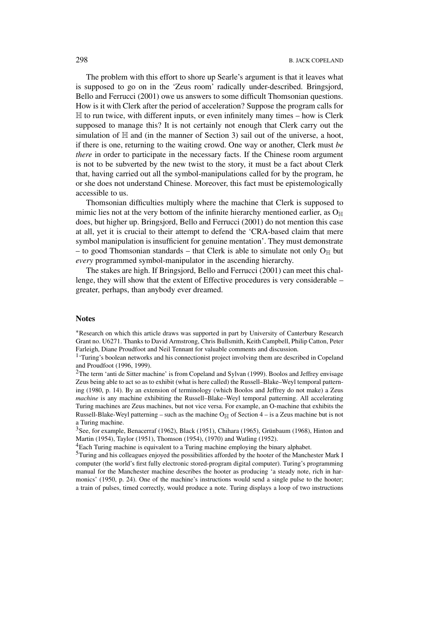The problem with this effort to shore up Searle's argument is that it leaves what is supposed to go on in the 'Zeus room' radically under-described. Bringsjord, Bello and Ferrucci (2001) owe us answers to some difficult Thomsonian questions. How is it with Clerk after the period of acceleration? Suppose the program calls for  $\mathbb H$  to run twice, with different inputs, or even infinitely many times – how is Clerk supposed to manage this? It is not certainly not enough that Clerk carry out the simulation of  $\mathbb H$  and (in the manner of Section 3) sail out of the universe, a hoot, if there is one, returning to the waiting crowd. One way or another, Clerk must *be there* in order to participate in the necessary facts. If the Chinese room argument is not to be subverted by the new twist to the story, it must be a fact about Clerk that, having carried out all the symbol-manipulations called for by the program, he or she does not understand Chinese. Moreover, this fact must be epistemologically accessible to us.

Thomsonian difficulties multiply where the machine that Clerk is supposed to mimic lies not at the very bottom of the infinite hierarchy mentioned earlier, as  $O_{\mathbb{H}}$ does, but higher up. Bringsjord, Bello and Ferrucci (2001) do not mention this case at all, yet it is crucial to their attempt to defend the 'CRA-based claim that mere symbol manipulation is insufficient for genuine mentation'. They must demonstrate – to good Thomsonian standards – that Clerk is able to simulate not only  $O_{\mathbb{H}}$  but *every* programmed symbol-manipulator in the ascending hierarchy.

The stakes are high. If Bringsjord, Bello and Ferrucci (2001) can meet this challenge, they will show that the extent of Effective procedures is very considerable – greater, perhaps, than anybody ever dreamed.

## **Notes**

∗Research on which this article draws was supported in part by University of Canterbury Research Grant no. U6271. Thanks to David Armstrong, Chris Bullsmith, Keith Campbell, Philip Catton, Peter Farleigh, Diane Proudfoot and Neil Tennant for valuable comments and discussion.

<sup>1</sup>'Turing's boolean networks and his connectionist project involving them are described in Copeland and Proudfoot (1996, 1999).

<sup>2</sup>The term 'anti de Sitter machine' is from Copeland and Sylvan (1999). Boolos and Jeffrey envisage Zeus being able to act so as to exhibit (what is here called) the Russell–Blake–Weyl temporal patterning (1980, p. 14). By an extension of terminology (which Boolos and Jeffrey do not make) a Zeus *machine* is any machine exhibiting the Russell–Blake–Weyl temporal patterning. All accelerating Turing machines are Zeus machines, but not vice versa. For example, an O-machine that exhibits the Russell-Blake-Weyl patterning – such as the machine O<sub>HI</sub> of Section 4 – is a Zeus machine but is not a Turing machine.

3See, for example, Benacerraf (1962), Black (1951), Chihara (1965), Grünbaum (1968), Hinton and Martin (1954), Taylor (1951), Thomson (1954), (1970) and Watling (1952).

<sup>4</sup>Each Turing machine is equivalent to a Turing machine employing the binary alphabet.

5Turing and his colleagues enjoyed the possibilities afforded by the hooter of the Manchester Mark I computer (the world's first fully electronic stored-program digital computer). Turing's programming manual for the Manchester machine describes the hooter as producing 'a steady note, rich in harmonics' (1950, p. 24). One of the machine's instructions would send a single pulse to the hooter; a train of pulses, timed correctly, would produce a note. Turing displays a loop of two instructions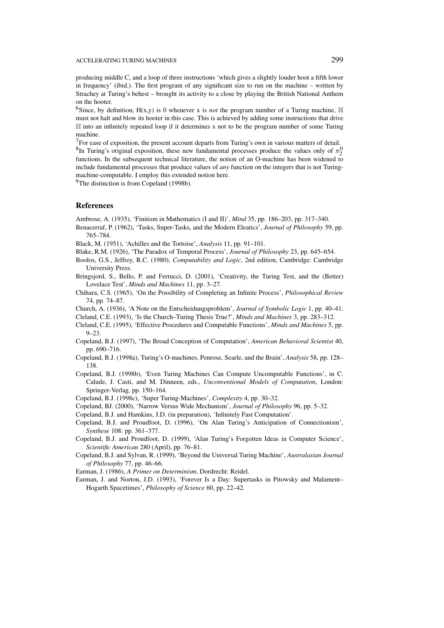ACCELERATING TURING MACHINES 299

producing middle C, and a loop of three instructions 'which gives a slightly louder hoot a fifth lower in frequency' (ibid.). The first program of any significant size to run on the machine – written by Strachey at Turing's behest – brought its activity to a close by playing the British National Anthem on the hooter.

<sup>6</sup>Since, by definition,  $H(x,y)$  is 0 whenever x is *not* the program number of a Turing machine,  $\mathbb{H}$ must not halt and blow its hooter in this case. This is achieved by adding some instructions that drive  $\mathbb H$  into an infinitely repeated loop if it determines x not to be the program number of some Turing machine.

<sup>7</sup>For ease of exposition, the present account departs from Turing's own in various matters of detail. <sup>8</sup>In Turing's original exposition, these new fundamental processes produce the values only of  $\pi_2^0$ functions. In the subsequent technical literature, the notion of an O-machine has been widened to include fundamental processes that produce values of *any* function on the integers that is not Turingmachine-computable. I employ this extended notion here.

<sup>9</sup>The distinction is from Copeland (1998b).

#### **References**

Ambrose, A. (1935), 'Finitism in Mathematics (I and II)', *Mind* 35, pp. 186–203, pp. 317–340.

Benacerraf, P. (1962), 'Tasks, Super-Tasks, and the Modern Eleatics', *Journal of Philosophy* 59, pp. 765–784.

Black, M. (1951), 'Achilles and the Tortoise', *Analysis* 11, pp. 91–101.

- Blake, R.M. (1926), 'The Paradox of Temporal Process', *Journal of Philosophy* 23, pp. 645–654.
- Boolos, G.S., Jeffrey, R.C. (1980), *Computability and Logic*, 2nd edition, Cambridge: Cambridge University Press.

Bringsjord, S., Bello, P. and Ferrucci, D. (2001), 'Creativity, the Turing Test, and the (Better) Lovelace Test', *Minds and Machines* 11, pp. 3–27.

Chihara, C.S. (1965), 'On the Possibility of Completing an Infinite Process', *Philosophical Review* 74, pp. 74–87.

Church, A. (1936), 'A Note on the Entscheidungsproblem', *Journal of Symbolic Logic* 1, pp. 40–41.

- Cleland, C.E. (1993), 'Is the Church–Turing Thesis True?', *Minds and Machines* 3, pp. 283–312.
- Cleland, C.E. (1995), 'Effective Procedures and Computable Functions', *Minds and Machines* 5, pp. 9–23.
- Copeland, B.J. (1997), 'The Broad Conception of Computation', *American Behavioral Scientist* 40, pp. 690–716.
- Copeland, B.J. (1998a), Turing's O-machines, Penrose, Searle, and the Brain', *Analysis* 58, pp. 128– 138.
- Copeland, B.J. (1998b), 'Even Turing Machines Can Compute Uncomputable Functions', in C. Calude, J. Casti, and M. Dinneen, eds., *Unconventional Models of Computation*, London: Springer-Verlag, pp. 150–164.
- Copeland, B.J. (1998c), 'Super Turing-Machines', *Complexity* 4, pp. 30–32.
- Copeland, BJ. (2000), 'Narrow Versus Wide Mechanism', *Journal of Philosophy* 96, pp. 5–32.
- Copeland, B.J. and Hamkins, J.D. (in preparation), 'Infinitely Fast Computation'.
- Copeland, B.J. and Proudfoot, D. (1996), 'On Alan Turing's Anticipation of Connectionism', *Synthese* 108: pp. 361–377.
- Copeland, B.J. and Proudfoot, D. (1999), 'Alan Turing's Forgotten Ideas in Computer Science', *Scientific American* 280 (April), pp. 76–81.
- Copeland, B.J. and Sylvan, R. (1999), 'Beyond the Universal Turing Machine', *Australasian Journal of Philosophy* 77, pp. 46–66.
- Earman, J. (1986), *A Primer on Determinism*, Dordrecht: Reidel.
- Earman, J. and Norton, J.D. (1993), 'Forever Is a Day: Supertasks in Pitowsky and Malament– Hogarth Spacetimes', *Philosophy of Science* 60, pp. 22–42.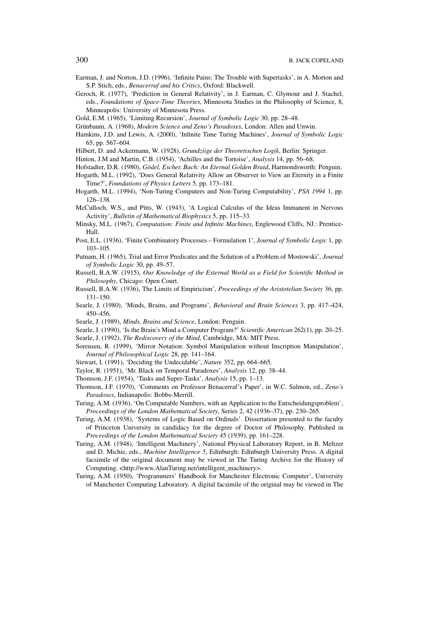- Earman, J. and Norton, J.D. (1996), 'Infinite Pains: The Trouble with Supertasks', in A. Morton and S.P. Stich, eds., *Benacerraf and his Critics*, Oxford: Blackwell.
- Geroch, R. (1977), 'Prediction in General Relativity', in J. Earman, C. Glymour and J. Stachel, eds., *Foundations of Space-Time Theories*, Minnesota Studies in the Philosophy of Science, 8, Minneapolis: University of Minnesota Press.
- Gold, E.M. (1965), 'Limiting Recursion', *Journal of Symbolic Logic* 30, pp. 28–48.
- Grünbaum, A. (1968), *Modern Science and Zeno's Paradoxes*, London: Allen and Unwin.
- Hamkins, J.D. and Lewis, A. (2000), 'Infinite Time Turing Machines', *Journal of Symbolic Logic* 65, pp. 567–604.

Hilbert, D. and Ackermann, W. (1928), *Grundziige der Theoretischen Logik*, Berlin: Springer.

- Hinton, J.M and Martin, C.B. (1954), 'Achilles and the Tortoise', *Analysis* 14, pp. 56–68.
- Hofstadter, D.R. (1980), *Gödel, Escher, Bach: An Eternal Golden Braid*, Harmondsworth: Penguin. Hogarth, M.L. (1992), 'Does General Relativity Allow an Observer to View an Eternity in a Finite Time?', *Foundations of Physics Letters* 5, pp. 173–181.
- Hogarth, M.L. (1994), 'Non-Turing Computers and Non-Turing Computability', *PSA 1994* 1, pp. 126–138.
- McCulloch, W.S., and Pitts, W. (1943), 'A Logical Calculus of the Ideas Immanent in Nervous Activity', *Bulletin of Mathematical Biophysics* 5, pp. 115–33.
- Minsky, M.L. (1967), *Computation: Finite and Infinite Machines*, Englewood Cliffs, NJ.: Prentice-Hall.
- Post, E.L. (1936), 'Finite Combinatory Processes Formulation 1', *Journal of Symbolic Logic* 1, pp. 103–105.
- Putnam, H. (1965), Trial and Error Predicates and the Solution of a Problem of Mostowski', *Journal of Symbolic Logic* 30, pp. 49–57.
- Russell, B.A.W. (1915), *Our Knowledge of the External World as a Field for Scientific Method in Philosophy*, Chicago: Open Court.
- Russell, B.A.W. (1936), The Limits of Empiricism', *Proceedings of the Aristotelian Society* 36, pp. 131–150.
- Searle, J. (1980), 'Minds, Brains, and Programs', *Behavioral and Brain Sciences* 3, pp. 417–424, 450–456.
- Searle, J. (1989), *Minds, Brains and Science*, London: Penguin.
- Searle, J. (1990), 'Is the Brain's Mind a Computer Program?' *Scientific American* 262(1), pp. 20–25.
- Searle, J. (1992), *The Rediscovery of the Mind*, Cambridge, MA: MIT Press.
- Sorensen, R. (1999), 'Mirror Notation: Symbol Manipulation without Inscription Manipulation', *Journal of Philosophical Logic* 28, pp. 141–164.
- Stewart, I. (1991), 'Deciding the Undecidable', *Nature* 352, pp. 664–665.
- Taylor, R. (1951), 'Mr. Black on Temporal Paradoxes', *Analysis* 12, pp. 38–44.
- Thomson, J.F. (1954), 'Tasks and Super-Tasks', *Analysis* 15, pp. 1–13.
- Thomson, J.F. (1970), 'Comments on Professor Benacerraf's Paper', in W.C. Salmon, ed., *Zeno's Paradoxes*, Indianapolis: Bobbs-Merrill.
- Turing, A.M. (1936), 'On Computable Numbers, with an Application to the Entscheidungsproblem', *Proceedings of the London Mathematical Society*, Series 2, 42 (1936–37), pp. 230–265.
- Turing, A.M. (1938), 'Systems of Logic Based on Ordinals'. Dissertation presented to the faculty of Princeton University in candidacy for the degree of Doctor of Philosophy. Published in *Proceedings of the London Mathematical Society* 45 (1939), pp. 161–228.
- Turing, A.M. (1948), 'Intelligent Machinery', National Physical Laboratory Report, in B. Meltzer and D. Michie, eds., *Machine Intelligence 5*, Edinburgh: Edinburgh University Press. A digital facsimile of the original document may be viewed in The Turing Archive for the History of Computing. <http://www.AlanTuring.net/intelligent\_machinery>.
- Turing, A.M. (1950), 'Programmers' Handbook for Manchester Electronic Computer', University of Manchester Computing Laboratory. A digital facsimile of the original may be viewed in The